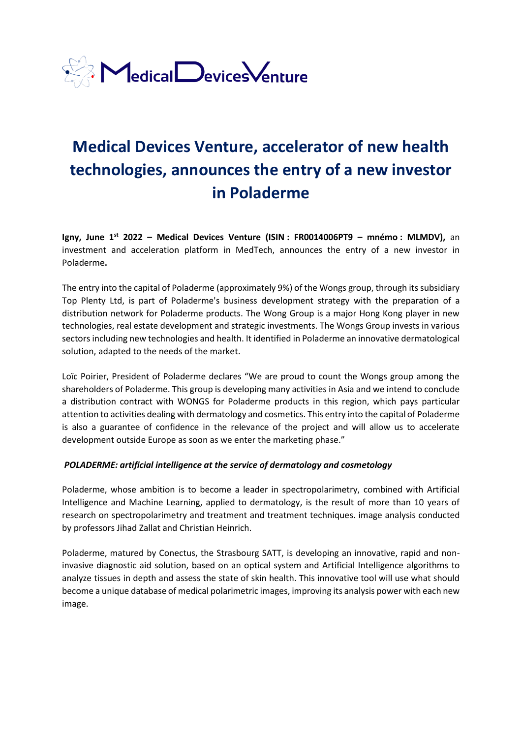

# **Medical Devices Venture, accelerator of new health technologies, announces the entry of a new investor in Poladerme**

**Igny, June 1st 2022 – Medical Devices Venture (ISIN : FR0014006PT9 – mnémo : MLMDV),** an investment and acceleration platform in MedTech, announces the entry of a new investor in Poladerme**.**

The entry into the capital of Poladerme (approximately 9%) of the Wongs group, through its subsidiary Top Plenty Ltd, is part of Poladerme's business development strategy with the preparation of a distribution network for Poladerme products. The Wong Group is a major Hong Kong player in new technologies, real estate development and strategic investments. The Wongs Group invests in various sectors including new technologies and health. It identified in Poladerme an innovative dermatological solution, adapted to the needs of the market.

Loïc Poirier, President of Poladerme declares "We are proud to count the Wongs group among the shareholders of Poladerme. This group is developing many activities in Asia and we intend to conclude a distribution contract with WONGS for Poladerme products in this region, which pays particular attention to activities dealing with dermatology and cosmetics. This entry into the capital of Poladerme is also a guarantee of confidence in the relevance of the project and will allow us to accelerate development outside Europe as soon as we enter the marketing phase."

#### *POLADERME: artificial intelligence at the service of dermatology and cosmetology*

Poladerme, whose ambition is to become a leader in spectropolarimetry, combined with Artificial Intelligence and Machine Learning, applied to dermatology, is the result of more than 10 years of research on spectropolarimetry and treatment and treatment techniques. image analysis conducted by professors Jihad Zallat and Christian Heinrich.

Poladerme, matured by Conectus, the Strasbourg SATT, is developing an innovative, rapid and noninvasive diagnostic aid solution, based on an optical system and Artificial Intelligence algorithms to analyze tissues in depth and assess the state of skin health. This innovative tool will use what should become a unique database of medical polarimetric images, improving its analysis power with each new image.